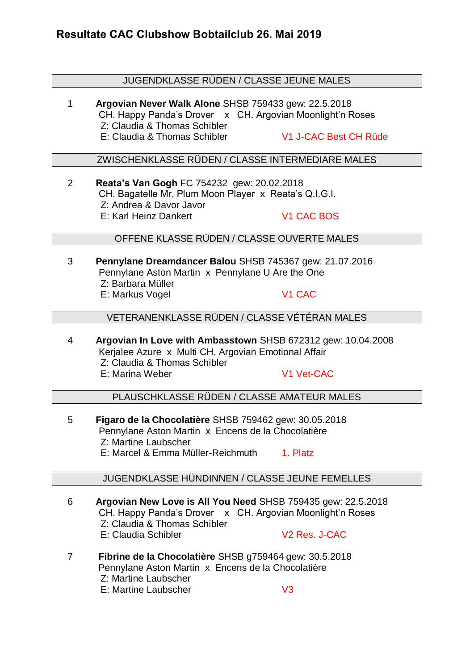### JUGENDKLASSE RÜDEN / CLASSE JEUNE MALES

1 **Argovian Never Walk Alone** SHSB 759433 gew: 22.5.2018 CH. Happy Panda's Drover x CH. Argovian Moonlight'n Roses Z: Claudia & Thomas Schibler E: Claudia & Thomas Schibler V1 J-CAC Best CH Rüde

### ZWISCHENKLASSE RÜDEN / CLASSE INTERMEDIARE MALES

2 **Reata's Van Gogh** FC 754232 gew: 20.02.2018 CH. Bagatelle Mr. Plum Moon Player x Reata's Q.I.G.I. Z: Andrea & Davor Javor E: Karl Heinz Dankert V1 CAC BOS

## OFFENE KLASSE RÜDEN / CLASSE OUVERTE MALES

3 **Pennylane Dreamdancer Balou** SHSB 745367 gew: 21.07.2016 Pennylane Aston Martin x Pennylane U Are the One Z: Barbara Müller E: Markus Vogel V1 CAC

VETERANENKLASSE RÜDEN / CLASSE VÉTÉRAN MALES

4 **Argovian In Love with Ambasstown** SHSB 672312 gew: 10.04.2008 Kerjalee Azure x Multi CH. Argovian Emotional Affair Z: Claudia & Thomas Schibler E: Marina Weber V1 Vet-CAC

PLAUSCHKLASSE RÜDEN / CLASSE AMATEUR MALES

5 **Figaro de la Chocolatière** SHSB 759462 gew: 30.05.2018 Pennylane Aston Martin x Encens de la Chocolatière Z: Martine Laubscher E: Marcel & Emma Müller-Reichmuth 1. Platz

### JUGENDKLASSE HÜNDINNEN / CLASSE JEUNE FEMELLES

- 6 **Argovian New Love is All You Need** SHSB 759435 gew: 22.5.2018 CH. Happy Panda's Drover x CH. Argovian Moonlight'n Roses Z: Claudia & Thomas Schibler E: Claudia Schibler V2 Res. J-CAC
- 7 **Fibrine de la Chocolatière** SHSB g759464 gew: 30.5.2018 Pennylane Aston Martin x Encens de la Chocolatière Z: Martine Laubscher E: Martine Laubscher V3